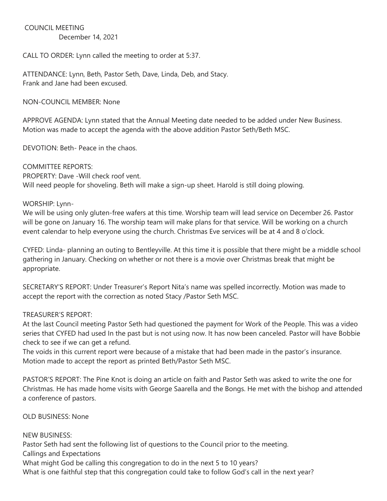# COUNCIL MEETING December 14, 2021

CALL TO ORDER: Lynn called the meeting to order at 5:37.

ATTENDANCE: Lynn, Beth, Pastor Seth, Dave, Linda, Deb, and Stacy. Frank and Jane had been excused.

NON-COUNCIL MEMBER: None

APPROVE AGENDA: Lynn stated that the Annual Meeting date needed to be added under New Business. Motion was made to accept the agenda with the above addition Pastor Seth/Beth MSC.

DEVOTION: Beth- Peace in the chaos.

COMMITTEE REPORTS: PROPERTY: Dave -Will check roof vent. Will need people for shoveling. Beth will make a sign-up sheet. Harold is still doing plowing.

### WORSHIP: Lynn-

We will be using only gluten-free wafers at this time. Worship team will lead service on December 26. Pastor will be gone on January 16. The worship team will make plans for that service. Will be working on a church event calendar to help everyone using the church. Christmas Eve services will be at 4 and 8 o'clock.

CYFED: Linda- planning an outing to Bentleyville. At this time it is possible that there might be a middle school gathering in January. Checking on whether or not there is a movie over Christmas break that might be appropriate.

SECRETARY'S REPORT: Under Treasurer's Report Nita's name was spelled incorrectly. Motion was made to accept the report with the correction as noted Stacy /Pastor Seth MSC.

## TREASURER'S REPORT:

At the last Council meeting Pastor Seth had questioned the payment for Work of the People. This was a video series that CYFED had used In the past but is not using now. It has now been canceled. Pastor will have Bobbie check to see if we can get a refund.

The voids in this current report were because of a mistake that had been made in the pastor's insurance. Motion made to accept the report as printed Beth/Pastor Seth MSC.

PASTOR'S REPORT: The Pine Knot is doing an article on faith and Pastor Seth was asked to write the one for Christmas. He has made home visits with George Saarella and the Bongs. He met with the bishop and attended a conference of pastors.

## OLD BUSINESS: None

## NEW BUSINESS:

Pastor Seth had sent the following list of questions to the Council prior to the meeting.

Callings and Expectations

What might God be calling this congregation to do in the next 5 to 10 years?

What is one faithful step that this congregation could take to follow God's call in the next year?